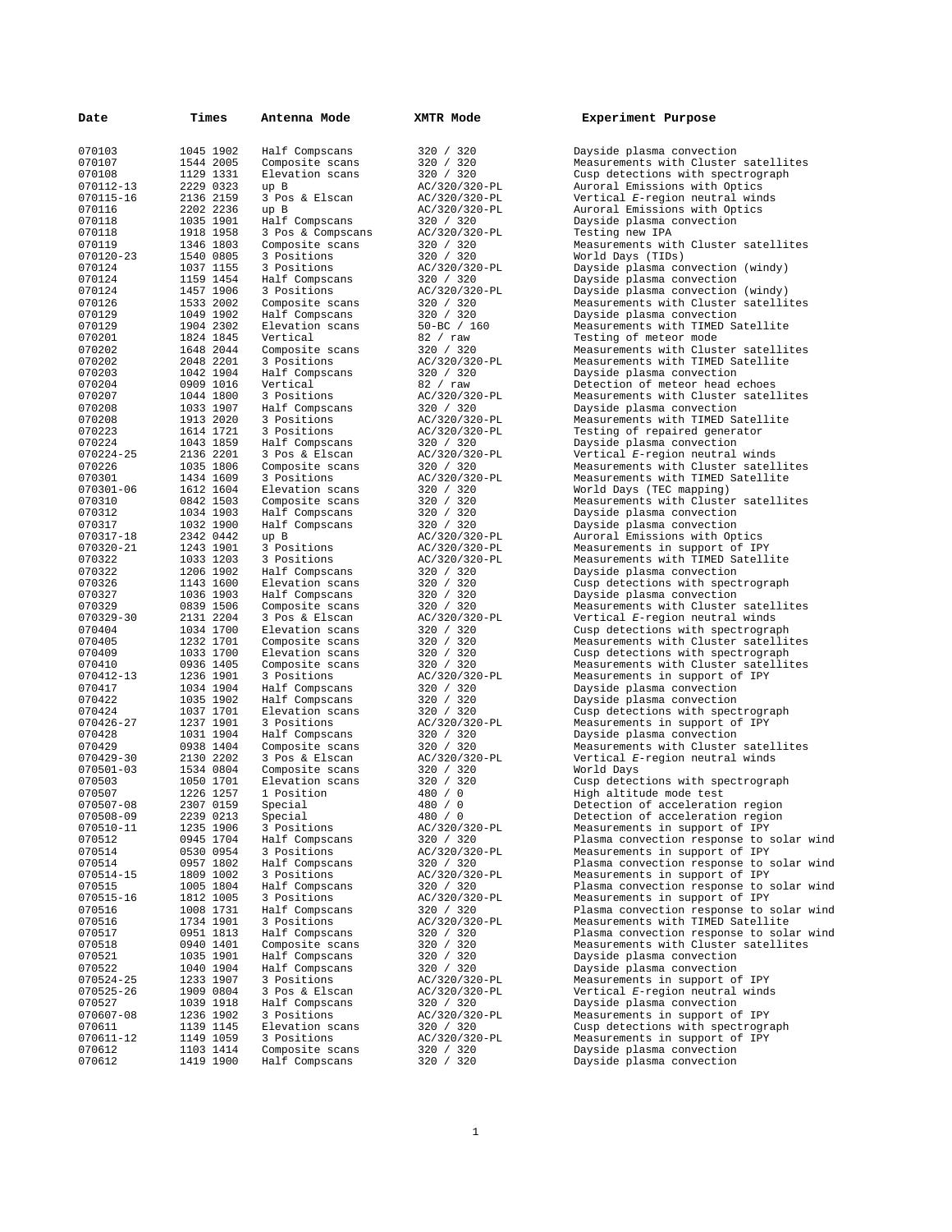| Date                | Times                  | Antenna Mode                       | XMTR Mode                  | Experiment Purpose                                                         |
|---------------------|------------------------|------------------------------------|----------------------------|----------------------------------------------------------------------------|
| 070103              | 1045 1902              | Half Compscans                     | 320 / 320                  | Dayside plasma convection                                                  |
| 070107              | 1544 2005              | Composite scans                    | 320 / 320                  | Measurements with Cluster satellites                                       |
| 070108              | 1129 1331              | Elevation scans                    | 320 / 320                  | Cusp detections with spectrograph                                          |
| 070112-13           | 2229 0323              | up B                               | AC/320/320-PL              | Auroral Emissions with Optics                                              |
| 070115-16           | 2136 2159              | 3 Pos & Elscan                     | AC/320/320-PL              | Vertical E-region neutral winds                                            |
| 070116<br>070118    | 2202 2236<br>1035 1901 | up B<br>Half Compscans             | AC/320/320-PL<br>320 / 320 | Auroral Emissions with Optics<br>Dayside plasma convection                 |
| 070118              | 1918 1958              | 3 Pos & Compscans                  | AC/320/320-PL              | Testing new IPA                                                            |
| 070119              | 1346 1803              | Composite scans                    | 320 / 320                  | Measurements with Cluster satellites                                       |
| 070120-23           | 1540 0805              | 3 Positions                        | 320 / 320                  | World Days (TIDs)                                                          |
| 070124              | 1037 1155              | 3 Positions                        | AC/320/320-PL              | Dayside plasma convection (windy)                                          |
| 070124              | 1159 1454              | Half Compscans                     | 320 / 320                  | Dayside plasma convection                                                  |
| 070124              | 1457 1906              | 3 Positions                        | AC/320/320-PL              | Dayside plasma convection (windy)                                          |
| 070126<br>070129    | 1533 2002<br>1049 1902 | Composite scans<br>Half Compscans  | 320 / 320<br>320 / 320     | Measurements with Cluster satellites<br>Dayside plasma convection          |
| 070129              | 1904 2302              | Elevation scans                    | $50 - BC / 160$            | Measurements with TIMED Satellite                                          |
| 070201              | 1824 1845              | Vertical                           | 82 / raw                   | Testing of meteor mode                                                     |
| 070202              | 1648 2044              | Composite scans                    | 320 / 320                  | Measurements with Cluster satellites                                       |
| 070202              | 2048 2201              | 3 Positions                        | AC/320/320-PL              | Measurements with TIMED Satellite                                          |
| 070203              | 1042 1904              | Half Compscans                     | 320 / 320                  | Dayside plasma convection                                                  |
| 070204              | 0909 1016              | Vertical                           | 82 / raw                   | Detection of meteor head echoes                                            |
| 070207<br>070208    | 1044 1800<br>1033 1907 | 3 Positions<br>Half Compscans      | AC/320/320-PL<br>320 / 320 | Measurements with Cluster satellites<br>Dayside plasma convection          |
| 070208              | 1913 2020              | 3 Positions                        | AC/320/320-PL              | Measurements with TIMED Satellite                                          |
| 070223              | 1614 1721              | 3 Positions                        | AC/320/320-PL              | Testing of repaired generator                                              |
| 070224              | 1043 1859              | Half Compscans                     | 320 / 320                  | Dayside plasma convection                                                  |
| 070224-25           | 2136 2201              | 3 Pos & Elscan                     | AC/320/320-PL              | Vertical E-region neutral winds                                            |
| 070226              | 1035 1806              | Composite scans                    | 320 / 320                  | Measurements with Cluster satellites                                       |
| 070301              | 1434 1609              | 3 Positions                        | AC/320/320-PL              | Measurements with TIMED Satellite                                          |
| 070301-06<br>070310 | 1612 1604<br>0842 1503 | Elevation scans                    | 320 / 320                  | World Days (TEC mapping)<br>Measurements with Cluster satellites           |
| 070312              | 1034 1903              | Composite scans<br>Half Compscans  | 320 / 320<br>320 / 320     | Dayside plasma convection                                                  |
| 070317              | 1032 1900              | Half Compscans                     | 320 / 320                  | Dayside plasma convection                                                  |
| 070317-18           | 2342 0442              | up B                               | AC/320/320-PL              | Auroral Emissions with Optics                                              |
| 070320-21           | 1243 1901              | 3 Positions                        | AC/320/320-PL              | Measurements in support of IPY                                             |
| 070322              | 1033 1203              | 3 Positions                        | AC/320/320-PL              | Measurements with TIMED Satellite                                          |
| 070322              | 1206 1902              | Half Compscans                     | 320 / 320                  | Dayside plasma convection                                                  |
| 070326<br>070327    | 1143 1600<br>1036 1903 | Elevation scans<br>Half Compscans  | 320 / 320<br>320 / 320     | Cusp detections with spectrograph<br>Dayside plasma convection             |
| 070329              | 0839 1506              | Composite scans                    | 320 / 320                  | Measurements with Cluster satellites                                       |
| 070329-30           | 2131 2204              | 3 Pos & Elscan                     | AC/320/320-PL              | Vertical E-region neutral winds                                            |
| 070404              | 1034 1700              | Elevation scans                    | 320 / 320                  | Cusp detections with spectrograph                                          |
| 070405              | 1232 1701              | Composite scans                    | 320 / 320                  | Measurements with Cluster satellites                                       |
| 070409              | 1033 1700              | Elevation scans                    | 320 / 320                  | Cusp detections with spectrograph                                          |
| 070410              | 0936 1405              | Composite scans                    | 320 / 320                  | Measurements with Cluster satellites                                       |
| 070412-13<br>070417 | 1236 1901<br>1034 1904 | 3 Positions<br>Half Compscans      | AC/320/320-PL<br>320 / 320 | Measurements in support of IPY<br>Dayside plasma convection                |
| 070422              | 1035 1902              | Half Compscans                     | 320 / 320                  | Dayside plasma convection                                                  |
| 070424              | 1037 1701              | Elevation scans                    | 320 / 320                  | Cusp detections with spectrograph                                          |
| 070426-27           | 1237 1901              | 3 Positions                        | AC/320/320-PL              | Measurements in support of IPY                                             |
| 070428              | 1031 1904              | Half Compscans                     | 320 / 320                  | Dayside plasma convection                                                  |
| 070429              | 0938 1404              | Composite scans                    | 320 / 320                  | Measurements with Cluster satellites                                       |
| 070429-30           | 2130 2202              | 3 Pos & Elscan                     | AC/320/320-PL              | Vertical E-region neutral winds                                            |
| 070501-03<br>070503 | 1534 0804<br>1050 1701 | Composite scans<br>Elevation scans | 320 / 320<br>320 / 320     | World Days<br>Cusp detections with spectrograph                            |
| 070507              | 1226 1257              | 1 Position                         | 480 / 0                    | High altitude mode test                                                    |
| 070507-08           | 2307 0159              | Special                            | 480 / 0                    | Detection of acceleration region                                           |
| 070508-09           | 2239 0213              | Special                            | 480 / 0                    | Detection of acceleration region                                           |
| 070510-11           | 1235 1906              | 3 Positions                        | AC/320/320-PL              | Measurements in support of IPY                                             |
| 070512              | 0945 1704              | Half Compscans                     | 320 / 320                  | Plasma convection response to solar wind                                   |
| 070514              | 0530 0954              | 3 Positions                        | AC/320/320-PL              | Measurements in support of IPY                                             |
| 070514<br>070514-15 | 0957 1802<br>1809 1002 | Half Compscans<br>3 Positions      | 320 / 320                  | Plasma convection response to solar wind<br>Measurements in support of IPY |
| 070515              | 1005 1804              | Half Compscans                     | AC/320/320-PL<br>320 / 320 | Plasma convection response to solar wind                                   |
| 070515-16           | 1812 1005              | 3 Positions                        | AC/320/320-PL              | Measurements in support of IPY                                             |
| 070516              | 1008 1731              | Half Compscans                     | 320 / 320                  | Plasma convection response to solar wind                                   |
| 070516              | 1734 1901              | 3 Positions                        | AC/320/320-PL              | Measurements with TIMED Satellite                                          |
| 070517              | 0951 1813              | Half Compscans                     | 320 / 320                  | Plasma convection response to solar wind                                   |
| 070518              | 0940 1401              | Composite scans                    | 320 / 320                  | Measurements with Cluster satellites                                       |
| 070521<br>070522    | 1035 1901<br>1040 1904 | Half Compscans<br>Half Compscans   | 320 / 320<br>320 / 320     | Dayside plasma convection<br>Dayside plasma convection                     |
| 070524-25           | 1233 1907              | 3 Positions                        | AC/320/320-PL              | Measurements in support of IPY                                             |
| 070525-26           | 1909 0804              | 3 Pos & Elscan                     | AC/320/320-PL              | Vertical E-region neutral winds                                            |
| 070527              | 1039 1918              | Half Compscans                     | 320 / 320                  | Dayside plasma convection                                                  |
| 070607-08           | 1236 1902              | 3 Positions                        | AC/320/320-PL              | Measurements in support of IPY                                             |
| 070611              | 1139 1145              | Elevation scans                    | 320 / 320                  | Cusp detections with spectrograph                                          |
| 070611-12           | 1149 1059              | 3 Positions                        | AC/320/320-PL              | Measurements in support of IPY                                             |
| 070612<br>070612    | 1103 1414<br>1419 1900 | Composite scans<br>Half Compscans  | 320 / 320<br>320 / 320     | Dayside plasma convection<br>Dayside plasma convection                     |
|                     |                        |                                    |                            |                                                                            |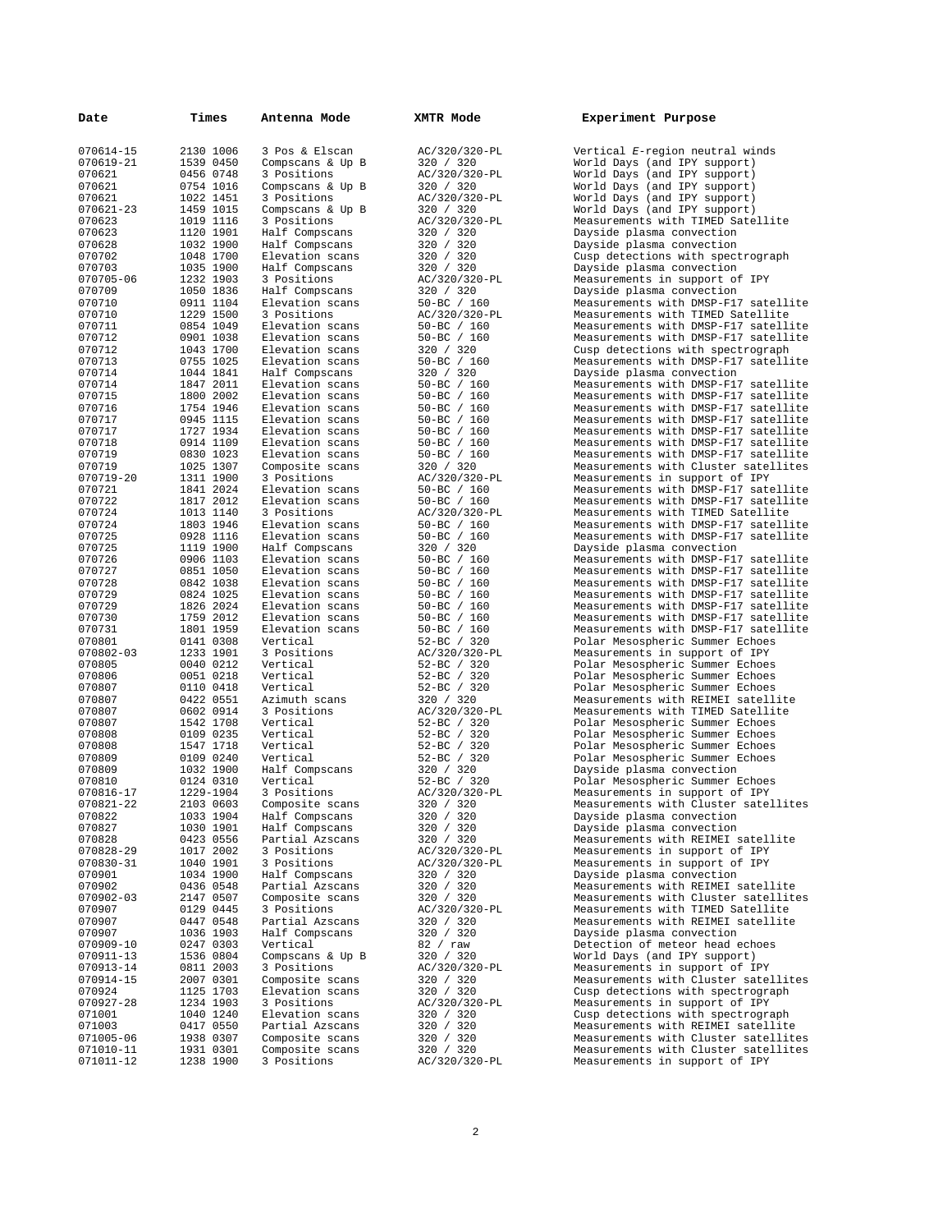| Date                | Times                  | Antenna Mode                       | XMTR Mode                          | Experiment Purpose                                                           |
|---------------------|------------------------|------------------------------------|------------------------------------|------------------------------------------------------------------------------|
| 070614-15           | 2130 1006              | 3 Pos & Elscan                     | AC/320/320-PL                      | Vertical E-region neutral winds                                              |
| 070619-21           | 1539 0450              | Compscans & Up B                   | 320 / 320                          | World Days (and IPY support)                                                 |
| 070621              | 0456 0748              | 3 Positions                        | AC/320/320-PL                      | World Days (and IPY support)                                                 |
| 070621<br>070621    | 0754 1016<br>1022 1451 | Compscans & Up B                   | 320 / 320<br>AC/320/320-PL         | World Days (and IPY support)                                                 |
| 070621-23           | 1459 1015              | 3 Positions<br>Compscans & Up B    | 320 / 320                          | World Days (and IPY support)<br>World Days (and IPY support)                 |
| 070623              | 1019 1116              | 3 Positions                        | AC/320/320-PL                      | Measurements with TIMED Satellite                                            |
| 070623              | 1120 1901              | Half Compscans                     | 320 / 320                          | Dayside plasma convection                                                    |
| 070628              | 1032 1900              | Half Compscans                     | 320 / 320                          | Dayside plasma convection                                                    |
| 070702              | 1048 1700              | Elevation scans                    | 320 / 320                          | Cusp detections with spectrograph                                            |
| 070703              | 1035 1900              | Half Compscans                     | 320 / 320                          | Dayside plasma convection                                                    |
| 070705-06           | 1232 1903              | 3 Positions                        | AC/320/320-PL<br>320 / 320         | Measurements in support of IPY                                               |
| 070709<br>070710    | 1050 1836<br>0911 1104 | Half Compscans<br>Elevation scans  | $50 - BC / 160$                    | Dayside plasma convection<br>Measurements with DMSP-F17 satellite            |
| 070710              | 1229 1500              | 3 Positions                        | AC/320/320-PL                      | Measurements with TIMED Satellite                                            |
| 070711              | 0854 1049              | Elevation scans                    | $50 - BC / 160$                    | Measurements with DMSP-F17 satellite                                         |
| 070712              | 0901 1038              | Elevation scans                    | $50 - BC / 160$                    | Measurements with DMSP-F17 satellite                                         |
| 070712              | 1043 1700              | Elevation scans                    | 320 / 320                          | Cusp detections with spectrograph                                            |
| 070713              | 0755 1025              | Elevation scans                    | $50 - BC / 160$                    | Measurements with DMSP-F17 satellite                                         |
| 070714              | 1044 1841<br>1847 2011 | Half Compscans<br>Elevation scans  | 320 / 320                          | Dayside plasma convection                                                    |
| 070714<br>070715    | 1800 2002              | Elevation scans                    | $50 - BC / 160$<br>50-BC / 160     | Measurements with DMSP-F17 satellite<br>Measurements with DMSP-F17 satellite |
| 070716              | 1754 1946              | Elevation scans                    | $50 - BC / 160$                    | Measurements with DMSP-F17 satellite                                         |
| 070717              | 0945 1115              | Elevation scans                    | $50 - BC$ / 160                    | Measurements with DMSP-F17 satellite                                         |
| 070717              | 1727 1934              | Elevation scans                    | $50 - BC$ / 160                    | Measurements with DMSP-F17 satellite                                         |
| 070718              | 0914 1109              | Elevation scans                    | $50 - BC / 160$                    | Measurements with DMSP-F17 satellite                                         |
| 070719              | 0830 1023              | Elevation scans                    | $50 - BC$ / 160                    | Measurements with DMSP-F17 satellite                                         |
| 070719              | 1025 1307<br>1311 1900 | Composite scans<br>3 Positions     | 320 / 320<br>AC/320/320-PL         | Measurements with Cluster satellites                                         |
| 070719-20<br>070721 | 1841 2024              | Elevation scans                    | $50 - BC / 160$                    | Measurements in support of IPY<br>Measurements with DMSP-F17 satellite       |
| 070722              | 1817 2012              | Elevation scans                    | $50 - BC / 160$                    | Measurements with DMSP-F17 satellite                                         |
| 070724              | 1013 1140              | 3 Positions                        | AC/320/320-PL                      | Measurements with TIMED Satellite                                            |
| 070724              | 1803 1946              | Elevation scans                    | $50 - BC / 160$                    | Measurements with DMSP-F17 satellite                                         |
| 070725              | 0928 1116              | Elevation scans                    | 50-BC / 160                        | Measurements with DMSP-F17 satellite                                         |
| 070725              | 1119 1900              | Half Compscans                     | 320 / 320                          | Dayside plasma convection                                                    |
| 070726<br>070727    | 0906 1103<br>0851 1050 | Elevation scans<br>Elevation scans | $50 - BC / 160$<br>$50 - BC / 160$ | Measurements with DMSP-F17 satellite<br>Measurements with DMSP-F17 satellite |
| 070728              | 0842 1038              | Elevation scans                    | 50-BC / 160                        | Measurements with DMSP-F17 satellite                                         |
| 070729              | 0824 1025              | Elevation scans                    | $50 - BC / 160$                    | Measurements with DMSP-F17 satellite                                         |
| 070729              | 1826 2024              | Elevation scans                    | $50 - BC / 160$                    | Measurements with DMSP-F17 satellite                                         |
| 070730              | 1759 2012              | Elevation scans                    | $50 - BC / 160$                    | Measurements with DMSP-F17 satellite                                         |
| 070731              | 1801 1959              | Elevation scans                    | $50 - BC / 160$                    | Measurements with DMSP-F17 satellite                                         |
| 070801              | 0141 0308              | Vertical                           | $52-BC$ / 320                      | Polar Mesospheric Summer Echoes                                              |
| 070802-03<br>070805 | 1233 1901<br>0040 0212 | 3 Positions<br>Vertical            | AC/320/320-PL<br>$52-BC$ / 320     | Measurements in support of IPY<br>Polar Mesospheric Summer Echoes            |
| 070806              | 0051 0218              | Vertical                           | 52-BC / 320                        | Polar Mesospheric Summer Echoes                                              |
| 070807              | 0110 0418              | Vertical                           | $52-BC$ / 320                      | Polar Mesospheric Summer Echoes                                              |
| 070807              | 0422 0551              | Azimuth scans                      | 320 / 320                          | Measurements with REIMEI satellite                                           |
| 070807              | 0602 0914              | 3 Positions                        | AC/320/320-PL                      | Measurements with TIMED Satellite                                            |
| 070807              | 1542 1708              | Vertical                           | 52-BC / 320                        | Polar Mesospheric Summer Echoes                                              |
| 070808<br>070808    | 0109 0235<br>1547 1718 | Vertical<br>Vertical               | $52-BC$ / 320<br>52-BC / 320       | Polar Mesospheric Summer Echoes<br>Polar Mesospheric Summer Echoes           |
| 070809              | 0109 0240              | Vertical                           | $52 - BC$ / 320                    | Polar Mesospheric Summer Echoes                                              |
| 070809              | 1032 1900              | Half Compscans                     | 320 / 320                          | Dayside plasma convection                                                    |
| 070810              | 0124 0310              | Vertical                           | $52 - BC$ / 320                    | Polar Mesospheric Summer Echoes                                              |
| 070816-17           | 1229-1904              | 3 Positions                        | AC/320/320-PL                      | Measurements in support of IPY                                               |
| 070821-22           | 2103 0603              | Composite scans                    | 320 / 320                          | Measurements with Cluster satellites                                         |
| 070822              | 1033 1904              | Half Compscans<br>Half Compscans   | 320 / 320                          | Dayside plasma convection<br>Dayside plasma convection                       |
| 070827<br>070828    | 1030 1901<br>0423 0556 | Partial Azscans                    | 320 / 320<br>320 / 320             | Measurements with REIMEI satellite                                           |
| 070828-29           | 1017 2002              | 3 Positions                        | AC/320/320-PL                      | Measurements in support of IPY                                               |
| 070830-31           | 1040 1901              | 3 Positions                        | AC/320/320-PL                      | Measurements in support of IPY                                               |
| 070901              | 1034 1900              | Half Compscans                     | 320 / 320                          | Dayside plasma convection                                                    |
| 070902              | 0436 0548              | Partial Azscans                    | 320 / 320                          | Measurements with REIMEI satellite                                           |
| 070902-03           | 2147 0507              | Composite scans                    | 320 / 320                          | Measurements with Cluster satellites                                         |
| 070907<br>070907    | 0129 0445<br>0447 0548 | 3 Positions<br>Partial Azscans     | AC/320/320-PL<br>320 / 320         | Measurements with TIMED Satellite<br>Measurements with REIMEI satellite      |
| 070907              | 1036 1903              | Half Compscans                     | 320 / 320                          | Dayside plasma convection                                                    |
| 070909-10           | 0247 0303              | Vertical                           | 82 / raw                           | Detection of meteor head echoes                                              |
| 070911-13           | 1536 0804              | Compscans & Up B                   | 320 / 320                          | World Days (and IPY support)                                                 |
| 070913-14           | 0811 2003              | 3 Positions                        | AC/320/320-PL                      | Measurements in support of IPY                                               |
| 070914-15           | 2007 0301              | Composite scans                    | 320 / 320                          | Measurements with Cluster satellites                                         |
| 070924              | 1125 1703              | Elevation scans                    | 320 / 320                          | Cusp detections with spectrograph                                            |
| 070927-28           | 1234 1903              | 3 Positions                        | AC/320/320-PL                      | Measurements in support of IPY<br>Cusp detections with spectrograph          |
| 071001<br>071003    | 1040 1240<br>0417 0550 | Elevation scans<br>Partial Azscans | 320 / 320<br>320 / 320             | Measurements with REIMEI satellite                                           |
| 071005-06           | 1938 0307              | Composite scans                    | 320 / 320                          | Measurements with Cluster satellites                                         |
| 071010-11           | 1931 0301              | Composite scans                    | 320 / 320                          | Measurements with Cluster satellites                                         |
| 071011-12           | 1238 1900              | 3 Positions                        | AC/320/320-PL                      | Measurements in support of IPY                                               |